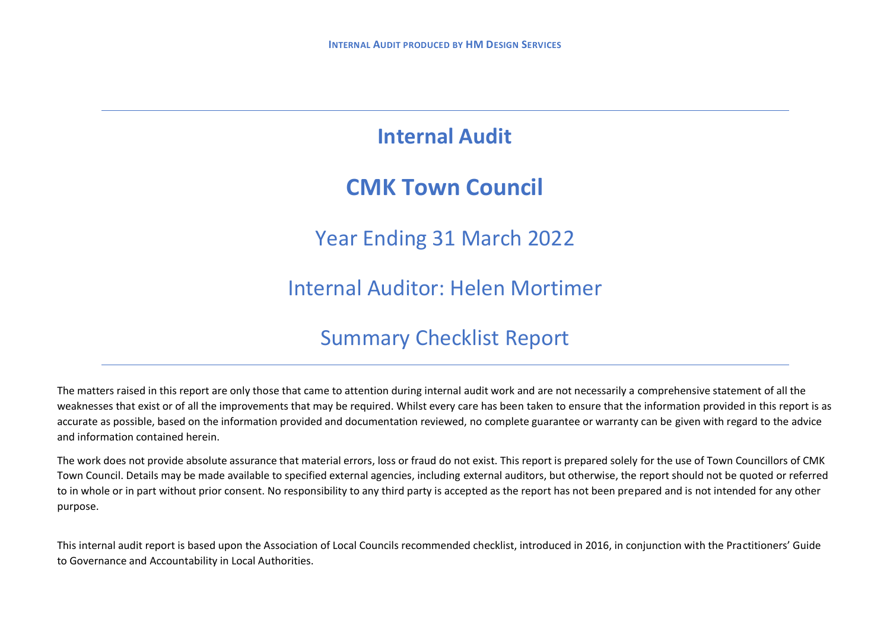## **Internal Audit**

## **CMK Town Council**

Year Ending 31 March 2022

Internal Auditor: Helen Mortimer

## Summary Checklist Report

The matters raised in this report are only those that came to attention during internal audit work and are not necessarily a comprehensive statement of all the weaknesses that exist or of all the improvements that may be required. Whilst every care has been taken to ensure that the information provided in this report is as accurate as possible, based on the information provided and documentation reviewed, no complete guarantee or warranty can be given with regard to the advice and information contained herein.

The work does not provide absolute assurance that material errors, loss or fraud do not exist. This report is prepared solely for the use of Town Councillors of CMK Town Council. Details may be made available to specified external agencies, including external auditors, but otherwise, the report should not be quoted or referred to in whole or in part without prior consent. No responsibility to any third party is accepted as the report has not been prepared and is not intended for any other purpose.

This internal audit report is based upon the Association of Local Councils recommended checklist, introduced in 2016, in conjunction with the Practitioners' Guide to Governance and Accountability in Local Authorities.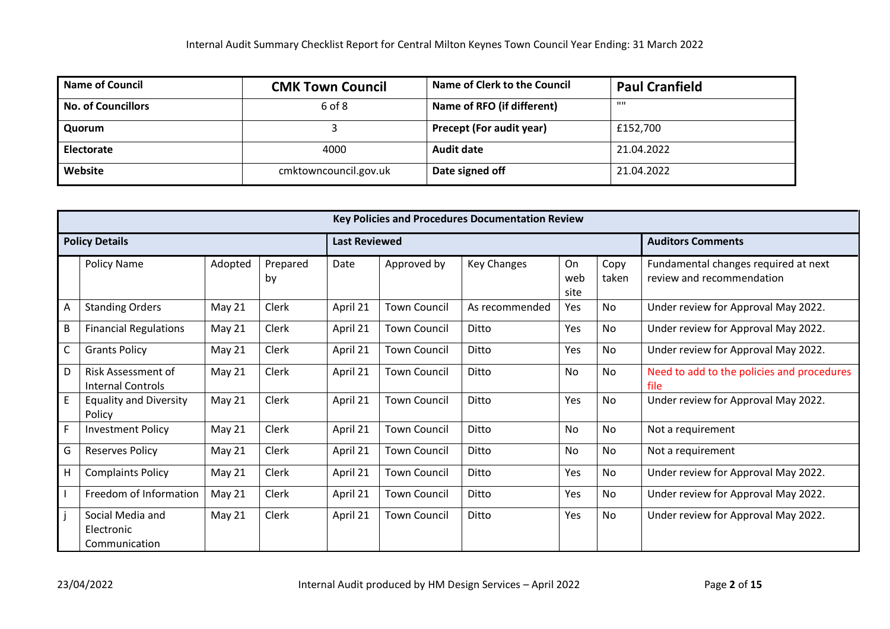| <b>Name of Council</b>    | <b>CMK Town Council</b> | Name of Clerk to the Council    | <b>Paul Cranfield</b> |
|---------------------------|-------------------------|---------------------------------|-----------------------|
| <b>No. of Councillors</b> | 6 of 8                  | Name of RFO (if different)      | $\mathbf{H}$          |
| Quorum                    |                         | <b>Precept (For audit year)</b> | £152,700              |
| Electorate                | 4000                    | <b>Audit date</b>               | 21.04.2022            |
| Website                   | cmktowncouncil.gov.uk   | Date signed off                 | 21.04.2022            |

|                       | <b>Key Policies and Procedures Documentation Review</b> |               |                |                      |                     |                    |                          |               |                                                                   |
|-----------------------|---------------------------------------------------------|---------------|----------------|----------------------|---------------------|--------------------|--------------------------|---------------|-------------------------------------------------------------------|
| <b>Policy Details</b> |                                                         |               |                | <b>Last Reviewed</b> |                     |                    | <b>Auditors Comments</b> |               |                                                                   |
|                       | <b>Policy Name</b>                                      | Adopted       | Prepared<br>by | Date                 | Approved by         | <b>Key Changes</b> | On<br>web<br>site        | Copy<br>taken | Fundamental changes required at next<br>review and recommendation |
| A                     | <b>Standing Orders</b>                                  | <b>May 21</b> | Clerk          | April 21             | <b>Town Council</b> | As recommended     | Yes                      | No            | Under review for Approval May 2022.                               |
| B                     | <b>Financial Regulations</b>                            | May 21        | Clerk          | April 21             | <b>Town Council</b> | Ditto              | Yes                      | No            | Under review for Approval May 2022.                               |
| $\mathsf C$           | <b>Grants Policy</b>                                    | <b>May 21</b> | Clerk          | April 21             | <b>Town Council</b> | Ditto              | Yes                      | <b>No</b>     | Under review for Approval May 2022.                               |
| D                     | Risk Assessment of<br><b>Internal Controls</b>          | <b>May 21</b> | Clerk          | April 21             | <b>Town Council</b> | Ditto              | No                       | No            | Need to add to the policies and procedures<br>file                |
| E                     | <b>Equality and Diversity</b><br>Policy                 | May 21        | Clerk          | April 21             | <b>Town Council</b> | Ditto              | Yes                      | <b>No</b>     | Under review for Approval May 2022.                               |
| $\mathsf{F}$          | <b>Investment Policy</b>                                | <b>May 21</b> | Clerk          | April 21             | <b>Town Council</b> | Ditto              | No                       | No            | Not a requirement                                                 |
| G                     | <b>Reserves Policy</b>                                  | May 21        | Clerk          | April 21             | <b>Town Council</b> | Ditto              | No                       | <b>No</b>     | Not a requirement                                                 |
| H                     | <b>Complaints Policy</b>                                | May 21        | Clerk          | April 21             | <b>Town Council</b> | Ditto              | Yes                      | <b>No</b>     | Under review for Approval May 2022.                               |
|                       | Freedom of Information                                  | <b>May 21</b> | Clerk          | April 21             | <b>Town Council</b> | Ditto              | Yes                      | No            | Under review for Approval May 2022.                               |
|                       | Social Media and<br>Electronic<br>Communication         | <b>May 21</b> | Clerk          | April 21             | <b>Town Council</b> | Ditto              | Yes                      | No            | Under review for Approval May 2022.                               |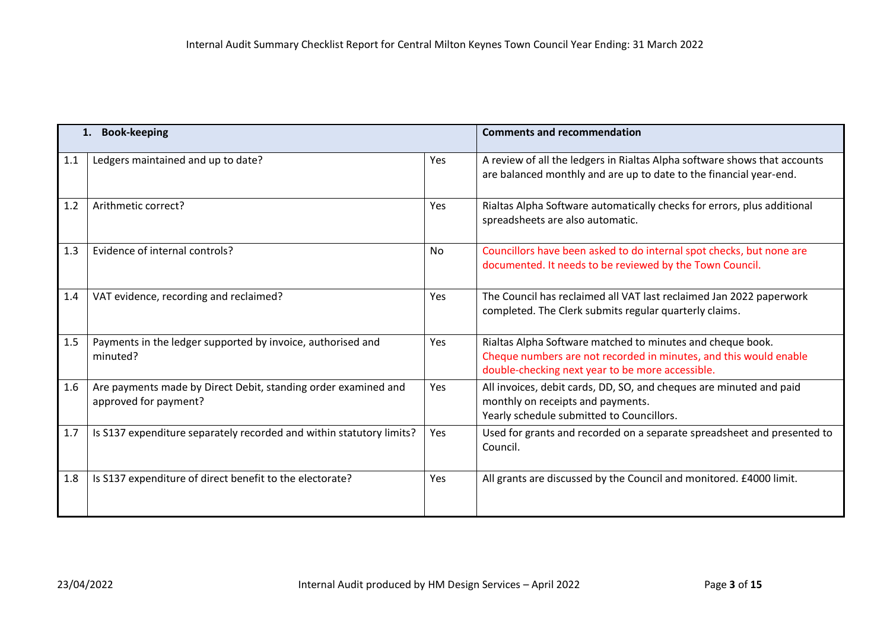|     | <b>Book-keeping</b>                                                                     |     | <b>Comments and recommendation</b>                                                                                                                                                  |
|-----|-----------------------------------------------------------------------------------------|-----|-------------------------------------------------------------------------------------------------------------------------------------------------------------------------------------|
| 1.1 | Ledgers maintained and up to date?                                                      | Yes | A review of all the ledgers in Rialtas Alpha software shows that accounts<br>are balanced monthly and are up to date to the financial year-end.                                     |
| 1.2 | Arithmetic correct?                                                                     | Yes | Rialtas Alpha Software automatically checks for errors, plus additional<br>spreadsheets are also automatic.                                                                         |
| 1.3 | Evidence of internal controls?                                                          | No  | Councillors have been asked to do internal spot checks, but none are<br>documented. It needs to be reviewed by the Town Council.                                                    |
| 1.4 | VAT evidence, recording and reclaimed?                                                  | Yes | The Council has reclaimed all VAT last reclaimed Jan 2022 paperwork<br>completed. The Clerk submits regular quarterly claims.                                                       |
| 1.5 | Payments in the ledger supported by invoice, authorised and<br>minuted?                 | Yes | Rialtas Alpha Software matched to minutes and cheque book.<br>Cheque numbers are not recorded in minutes, and this would enable<br>double-checking next year to be more accessible. |
| 1.6 | Are payments made by Direct Debit, standing order examined and<br>approved for payment? | Yes | All invoices, debit cards, DD, SO, and cheques are minuted and paid<br>monthly on receipts and payments.<br>Yearly schedule submitted to Councillors.                               |
| 1.7 | Is S137 expenditure separately recorded and within statutory limits?                    | Yes | Used for grants and recorded on a separate spreadsheet and presented to<br>Council.                                                                                                 |
| 1.8 | Is S137 expenditure of direct benefit to the electorate?                                | Yes | All grants are discussed by the Council and monitored. £4000 limit.                                                                                                                 |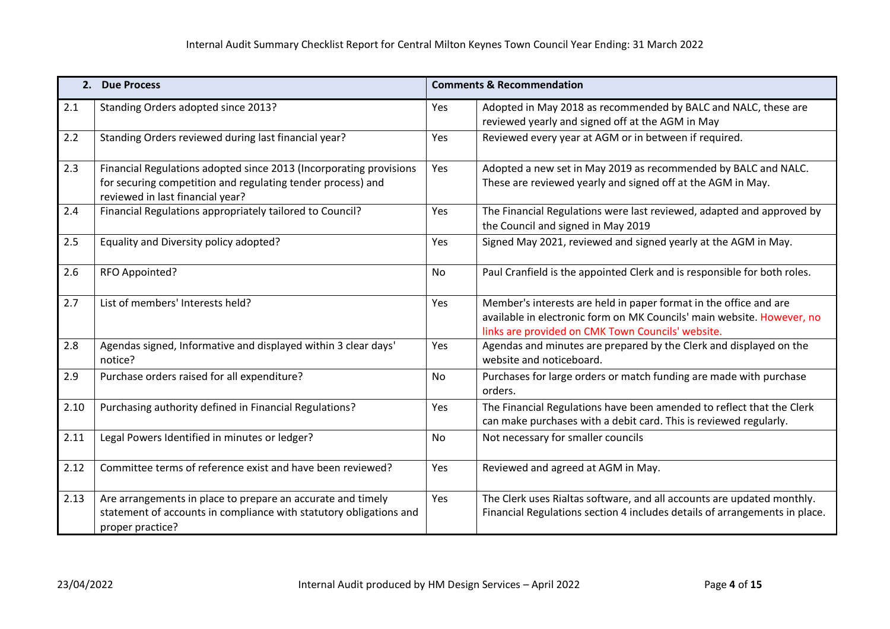|      | 2. Due Process                                                                                                                                                        |            | <b>Comments &amp; Recommendation</b>                                                                                                                                                             |
|------|-----------------------------------------------------------------------------------------------------------------------------------------------------------------------|------------|--------------------------------------------------------------------------------------------------------------------------------------------------------------------------------------------------|
| 2.1  | Standing Orders adopted since 2013?                                                                                                                                   | Yes        | Adopted in May 2018 as recommended by BALC and NALC, these are<br>reviewed yearly and signed off at the AGM in May                                                                               |
| 2.2  | Standing Orders reviewed during last financial year?                                                                                                                  | <b>Yes</b> | Reviewed every year at AGM or in between if required.                                                                                                                                            |
| 2.3  | Financial Regulations adopted since 2013 (Incorporating provisions<br>for securing competition and regulating tender process) and<br>reviewed in last financial year? | Yes        | Adopted a new set in May 2019 as recommended by BALC and NALC.<br>These are reviewed yearly and signed off at the AGM in May.                                                                    |
| 2.4  | Financial Regulations appropriately tailored to Council?                                                                                                              | Yes        | The Financial Regulations were last reviewed, adapted and approved by<br>the Council and signed in May 2019                                                                                      |
| 2.5  | Equality and Diversity policy adopted?                                                                                                                                | Yes        | Signed May 2021, reviewed and signed yearly at the AGM in May.                                                                                                                                   |
| 2.6  | RFO Appointed?                                                                                                                                                        | <b>No</b>  | Paul Cranfield is the appointed Clerk and is responsible for both roles.                                                                                                                         |
| 2.7  | List of members' Interests held?                                                                                                                                      | Yes        | Member's interests are held in paper format in the office and are<br>available in electronic form on MK Councils' main website. However, no<br>links are provided on CMK Town Councils' website. |
| 2.8  | Agendas signed, Informative and displayed within 3 clear days'<br>notice?                                                                                             | Yes        | Agendas and minutes are prepared by the Clerk and displayed on the<br>website and noticeboard.                                                                                                   |
| 2.9  | Purchase orders raised for all expenditure?                                                                                                                           | <b>No</b>  | Purchases for large orders or match funding are made with purchase<br>orders.                                                                                                                    |
| 2.10 | Purchasing authority defined in Financial Regulations?                                                                                                                | Yes        | The Financial Regulations have been amended to reflect that the Clerk<br>can make purchases with a debit card. This is reviewed regularly.                                                       |
| 2.11 | Legal Powers Identified in minutes or ledger?                                                                                                                         | <b>No</b>  | Not necessary for smaller councils                                                                                                                                                               |
| 2.12 | Committee terms of reference exist and have been reviewed?                                                                                                            | Yes        | Reviewed and agreed at AGM in May.                                                                                                                                                               |
| 2.13 | Are arrangements in place to prepare an accurate and timely<br>statement of accounts in compliance with statutory obligations and<br>proper practice?                 | Yes        | The Clerk uses Rialtas software, and all accounts are updated monthly.<br>Financial Regulations section 4 includes details of arrangements in place.                                             |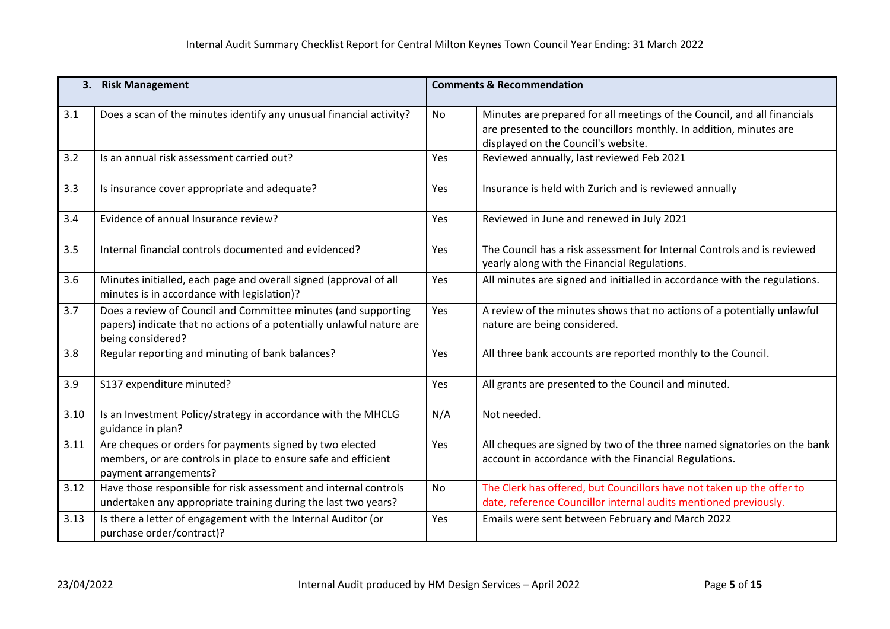|      | 3. Risk Management                                                                                                                                           |     | <b>Comments &amp; Recommendation</b>                                                                                                                                                  |
|------|--------------------------------------------------------------------------------------------------------------------------------------------------------------|-----|---------------------------------------------------------------------------------------------------------------------------------------------------------------------------------------|
| 3.1  | Does a scan of the minutes identify any unusual financial activity?                                                                                          | No  | Minutes are prepared for all meetings of the Council, and all financials<br>are presented to the councillors monthly. In addition, minutes are<br>displayed on the Council's website. |
| 3.2  | Is an annual risk assessment carried out?                                                                                                                    | Yes | Reviewed annually, last reviewed Feb 2021                                                                                                                                             |
| 3.3  | Is insurance cover appropriate and adequate?                                                                                                                 | Yes | Insurance is held with Zurich and is reviewed annually                                                                                                                                |
| 3.4  | Evidence of annual Insurance review?                                                                                                                         | Yes | Reviewed in June and renewed in July 2021                                                                                                                                             |
| 3.5  | Internal financial controls documented and evidenced?                                                                                                        | Yes | The Council has a risk assessment for Internal Controls and is reviewed<br>yearly along with the Financial Regulations.                                                               |
| 3.6  | Minutes initialled, each page and overall signed (approval of all<br>minutes is in accordance with legislation)?                                             | Yes | All minutes are signed and initialled in accordance with the regulations.                                                                                                             |
| 3.7  | Does a review of Council and Committee minutes (and supporting<br>papers) indicate that no actions of a potentially unlawful nature are<br>being considered? | Yes | A review of the minutes shows that no actions of a potentially unlawful<br>nature are being considered.                                                                               |
| 3.8  | Regular reporting and minuting of bank balances?                                                                                                             | Yes | All three bank accounts are reported monthly to the Council.                                                                                                                          |
| 3.9  | S137 expenditure minuted?                                                                                                                                    | Yes | All grants are presented to the Council and minuted.                                                                                                                                  |
| 3.10 | Is an Investment Policy/strategy in accordance with the MHCLG<br>guidance in plan?                                                                           | N/A | Not needed.                                                                                                                                                                           |
| 3.11 | Are cheques or orders for payments signed by two elected<br>members, or are controls in place to ensure safe and efficient<br>payment arrangements?          | Yes | All cheques are signed by two of the three named signatories on the bank<br>account in accordance with the Financial Regulations.                                                     |
| 3.12 | Have those responsible for risk assessment and internal controls<br>undertaken any appropriate training during the last two years?                           | No  | The Clerk has offered, but Councillors have not taken up the offer to<br>date, reference Councillor internal audits mentioned previously.                                             |
| 3.13 | Is there a letter of engagement with the Internal Auditor (or<br>purchase order/contract)?                                                                   | Yes | Emails were sent between February and March 2022                                                                                                                                      |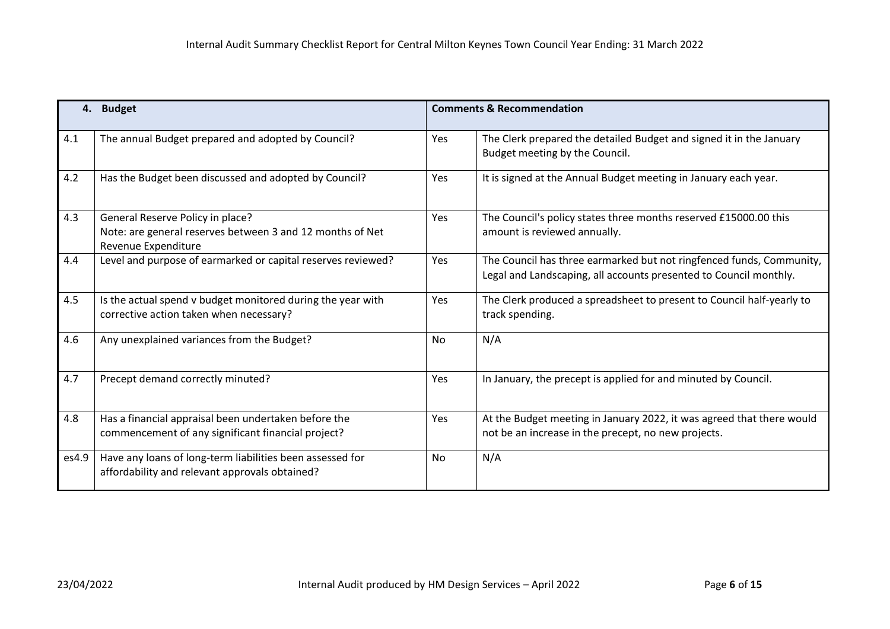| 4.    | <b>Budget</b>                                                                                                        | <b>Comments &amp; Recommendation</b> |                                                                                                                                           |  |
|-------|----------------------------------------------------------------------------------------------------------------------|--------------------------------------|-------------------------------------------------------------------------------------------------------------------------------------------|--|
| 4.1   | The annual Budget prepared and adopted by Council?                                                                   | Yes                                  | The Clerk prepared the detailed Budget and signed it in the January<br>Budget meeting by the Council.                                     |  |
| 4.2   | Has the Budget been discussed and adopted by Council?                                                                | Yes                                  | It is signed at the Annual Budget meeting in January each year.                                                                           |  |
| 4.3   | General Reserve Policy in place?<br>Note: are general reserves between 3 and 12 months of Net<br>Revenue Expenditure | Yes                                  | The Council's policy states three months reserved £15000.00 this<br>amount is reviewed annually.                                          |  |
| 4.4   | Level and purpose of earmarked or capital reserves reviewed?                                                         | Yes                                  | The Council has three earmarked but not ringfenced funds, Community,<br>Legal and Landscaping, all accounts presented to Council monthly. |  |
| 4.5   | Is the actual spend v budget monitored during the year with<br>corrective action taken when necessary?               | Yes                                  | The Clerk produced a spreadsheet to present to Council half-yearly to<br>track spending.                                                  |  |
| 4.6   | Any unexplained variances from the Budget?                                                                           | No                                   | N/A                                                                                                                                       |  |
| 4.7   | Precept demand correctly minuted?                                                                                    | Yes                                  | In January, the precept is applied for and minuted by Council.                                                                            |  |
| 4.8   | Has a financial appraisal been undertaken before the<br>commencement of any significant financial project?           | Yes                                  | At the Budget meeting in January 2022, it was agreed that there would<br>not be an increase in the precept, no new projects.              |  |
| es4.9 | Have any loans of long-term liabilities been assessed for<br>affordability and relevant approvals obtained?          | <b>No</b>                            | N/A                                                                                                                                       |  |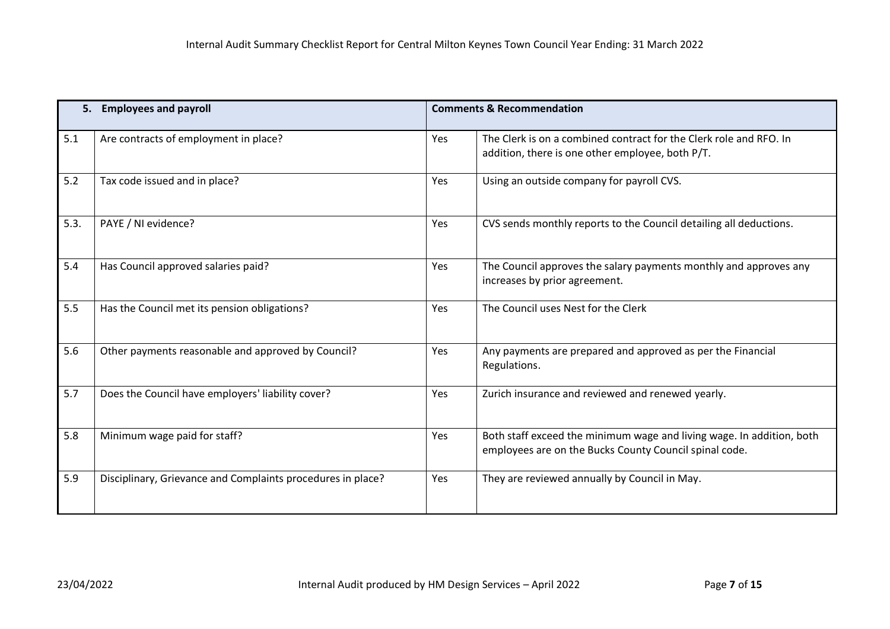|      | 5. Employees and payroll                                    |     | <b>Comments &amp; Recommendation</b>                                                                                            |
|------|-------------------------------------------------------------|-----|---------------------------------------------------------------------------------------------------------------------------------|
| 5.1  | Are contracts of employment in place?                       | Yes | The Clerk is on a combined contract for the Clerk role and RFO. In<br>addition, there is one other employee, both P/T.          |
| 5.2  | Tax code issued and in place?                               | Yes | Using an outside company for payroll CVS.                                                                                       |
| 5.3. | PAYE / NI evidence?                                         | Yes | CVS sends monthly reports to the Council detailing all deductions.                                                              |
| 5.4  | Has Council approved salaries paid?                         | Yes | The Council approves the salary payments monthly and approves any<br>increases by prior agreement.                              |
| 5.5  | Has the Council met its pension obligations?                | Yes | The Council uses Nest for the Clerk                                                                                             |
| 5.6  | Other payments reasonable and approved by Council?          | Yes | Any payments are prepared and approved as per the Financial<br>Regulations.                                                     |
| 5.7  | Does the Council have employers' liability cover?           | Yes | Zurich insurance and reviewed and renewed yearly.                                                                               |
| 5.8  | Minimum wage paid for staff?                                | Yes | Both staff exceed the minimum wage and living wage. In addition, both<br>employees are on the Bucks County Council spinal code. |
| 5.9  | Disciplinary, Grievance and Complaints procedures in place? | Yes | They are reviewed annually by Council in May.                                                                                   |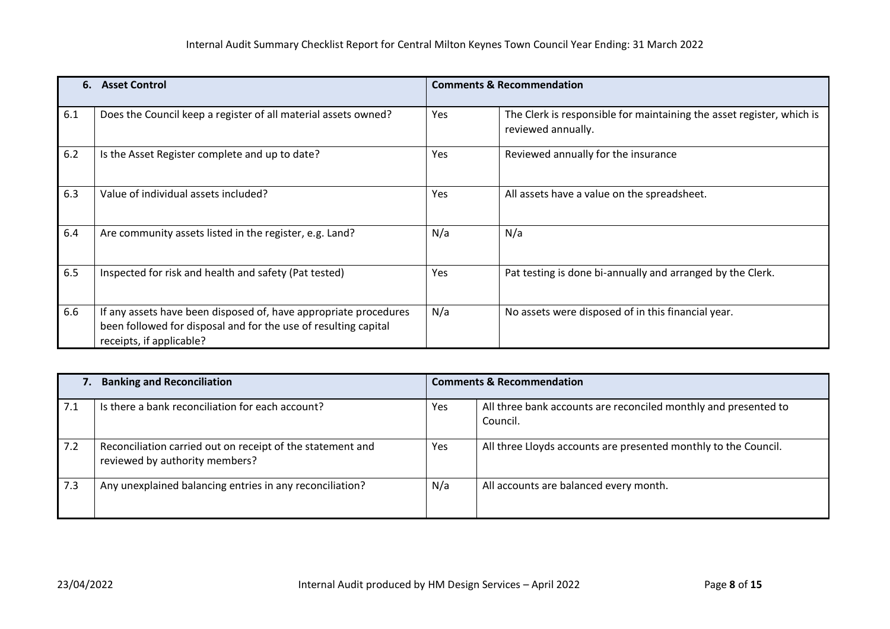| 6.  | <b>Asset Control</b>                                                                                                                                            |     | <b>Comments &amp; Recommendation</b>                                                        |
|-----|-----------------------------------------------------------------------------------------------------------------------------------------------------------------|-----|---------------------------------------------------------------------------------------------|
| 6.1 | Does the Council keep a register of all material assets owned?                                                                                                  | Yes | The Clerk is responsible for maintaining the asset register, which is<br>reviewed annually. |
| 6.2 | Is the Asset Register complete and up to date?                                                                                                                  | Yes | Reviewed annually for the insurance                                                         |
| 6.3 | Value of individual assets included?                                                                                                                            | Yes | All assets have a value on the spreadsheet.                                                 |
| 6.4 | Are community assets listed in the register, e.g. Land?                                                                                                         | N/a | N/a                                                                                         |
| 6.5 | Inspected for risk and health and safety (Pat tested)                                                                                                           | Yes | Pat testing is done bi-annually and arranged by the Clerk.                                  |
| 6.6 | If any assets have been disposed of, have appropriate procedures<br>been followed for disposal and for the use of resulting capital<br>receipts, if applicable? | N/a | No assets were disposed of in this financial year.                                          |

| <b>Banking and Reconciliation</b><br>7. |                                                                                              |     | <b>Comments &amp; Recommendation</b>                                        |  |  |
|-----------------------------------------|----------------------------------------------------------------------------------------------|-----|-----------------------------------------------------------------------------|--|--|
| 7.1                                     | Is there a bank reconciliation for each account?                                             | Yes | All three bank accounts are reconciled monthly and presented to<br>Council. |  |  |
| 7.2                                     | Reconciliation carried out on receipt of the statement and<br>reviewed by authority members? | Yes | All three Lloyds accounts are presented monthly to the Council.             |  |  |
| 7.3                                     | Any unexplained balancing entries in any reconciliation?                                     | N/a | All accounts are balanced every month.                                      |  |  |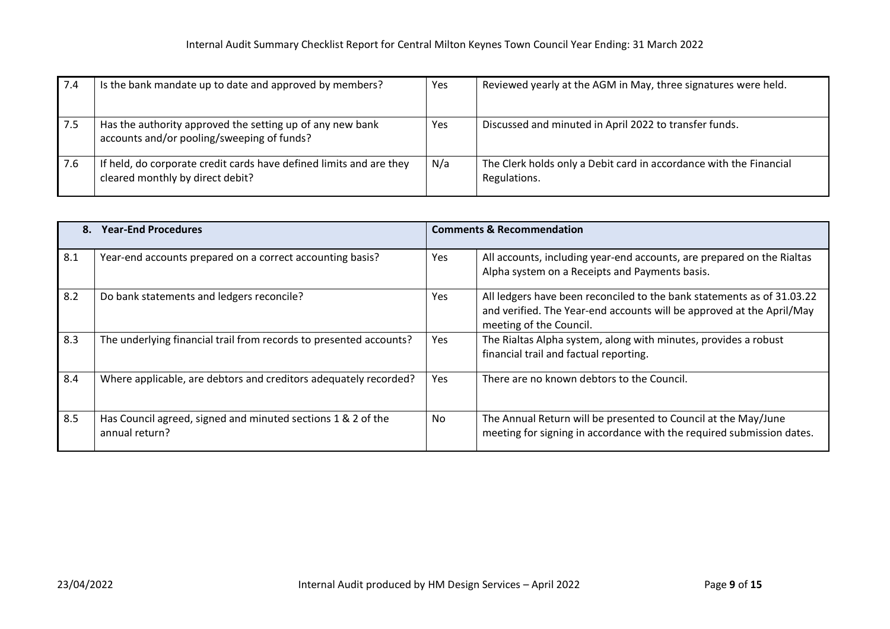| 7.4  | Is the bank mandate up to date and approved by members?                                                 | Yes | Reviewed yearly at the AGM in May, three signatures were held.                     |
|------|---------------------------------------------------------------------------------------------------------|-----|------------------------------------------------------------------------------------|
| -7.5 | Has the authority approved the setting up of any new bank<br>accounts and/or pooling/sweeping of funds? | Yes | Discussed and minuted in April 2022 to transfer funds.                             |
| 7.6  | If held, do corporate credit cards have defined limits and are they<br>cleared monthly by direct debit? | N/a | The Clerk holds only a Debit card in accordance with the Financial<br>Regulations. |

|     | <b>Year-End Procedures</b><br>8.                                               |            | <b>Comments &amp; Recommendation</b>                                                                                                                                       |  |  |
|-----|--------------------------------------------------------------------------------|------------|----------------------------------------------------------------------------------------------------------------------------------------------------------------------------|--|--|
| 8.1 | Year-end accounts prepared on a correct accounting basis?                      | Yes        | All accounts, including year-end accounts, are prepared on the Rialtas<br>Alpha system on a Receipts and Payments basis.                                                   |  |  |
| 8.2 | Do bank statements and ledgers reconcile?                                      | Yes        | All ledgers have been reconciled to the bank statements as of 31.03.22<br>and verified. The Year-end accounts will be approved at the April/May<br>meeting of the Council. |  |  |
| 8.3 | The underlying financial trail from records to presented accounts?             | Yes        | The Rialtas Alpha system, along with minutes, provides a robust<br>financial trail and factual reporting.                                                                  |  |  |
| 8.4 | Where applicable, are debtors and creditors adequately recorded?               | <b>Yes</b> | There are no known debtors to the Council.                                                                                                                                 |  |  |
| 8.5 | Has Council agreed, signed and minuted sections 1 & 2 of the<br>annual return? | No         | The Annual Return will be presented to Council at the May/June<br>meeting for signing in accordance with the required submission dates.                                    |  |  |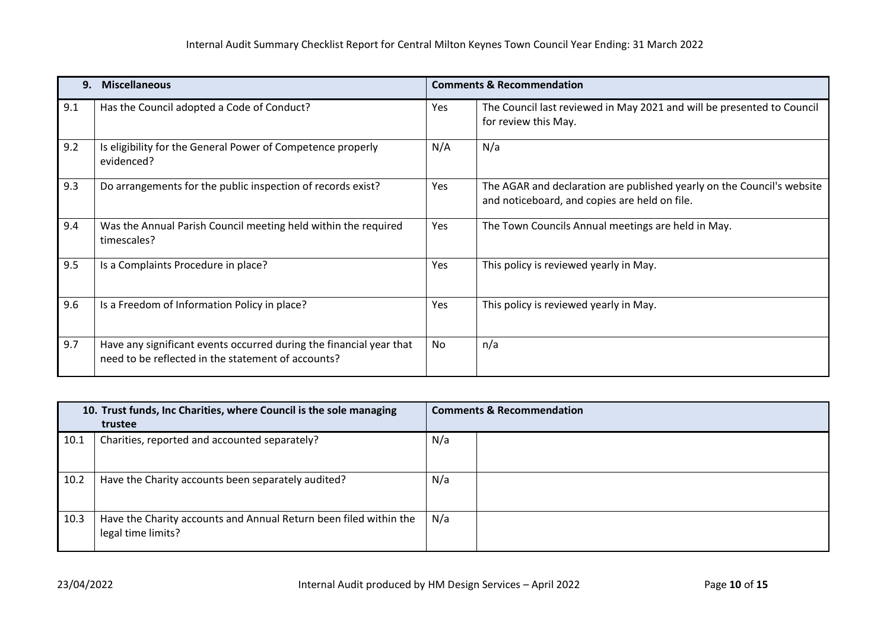| 9.  | <b>Miscellaneous</b>                                                                                                      |            | <b>Comments &amp; Recommendation</b>                                                                                    |
|-----|---------------------------------------------------------------------------------------------------------------------------|------------|-------------------------------------------------------------------------------------------------------------------------|
| 9.1 | Has the Council adopted a Code of Conduct?                                                                                | Yes        | The Council last reviewed in May 2021 and will be presented to Council<br>for review this May.                          |
| 9.2 | Is eligibility for the General Power of Competence properly<br>evidenced?                                                 | N/A        | N/a                                                                                                                     |
| 9.3 | Do arrangements for the public inspection of records exist?                                                               | Yes        | The AGAR and declaration are published yearly on the Council's website<br>and noticeboard, and copies are held on file. |
| 9.4 | Was the Annual Parish Council meeting held within the required<br>timescales?                                             | <b>Yes</b> | The Town Councils Annual meetings are held in May.                                                                      |
| 9.5 | Is a Complaints Procedure in place?                                                                                       | Yes        | This policy is reviewed yearly in May.                                                                                  |
| 9.6 | Is a Freedom of Information Policy in place?                                                                              | Yes        | This policy is reviewed yearly in May.                                                                                  |
| 9.7 | Have any significant events occurred during the financial year that<br>need to be reflected in the statement of accounts? | No         | n/a                                                                                                                     |

| 10. Trust funds, Inc Charities, where Council is the sole managing |                                                                                         | <b>Comments &amp; Recommendation</b> |  |
|--------------------------------------------------------------------|-----------------------------------------------------------------------------------------|--------------------------------------|--|
|                                                                    | trustee                                                                                 |                                      |  |
| 10.1                                                               | Charities, reported and accounted separately?                                           | N/a                                  |  |
| 10.2                                                               | Have the Charity accounts been separately audited?                                      | N/a                                  |  |
| 10.3                                                               | Have the Charity accounts and Annual Return been filed within the<br>legal time limits? | N/a                                  |  |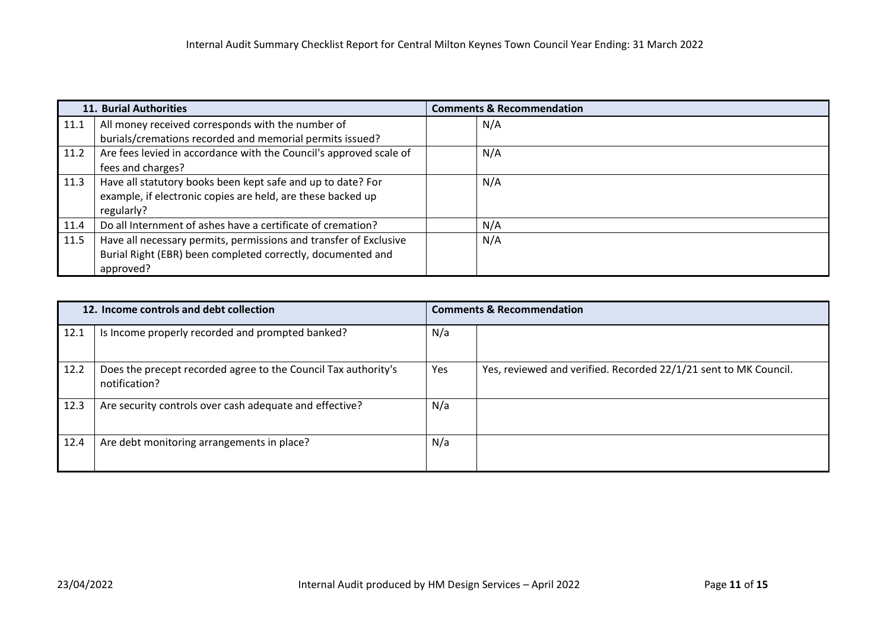|      | 11. Burial Authorities                                             | <b>Comments &amp; Recommendation</b> |  |
|------|--------------------------------------------------------------------|--------------------------------------|--|
| 11.1 | All money received corresponds with the number of                  | N/A                                  |  |
|      | burials/cremations recorded and memorial permits issued?           |                                      |  |
| 11.2 | Are fees levied in accordance with the Council's approved scale of | N/A                                  |  |
|      | fees and charges?                                                  |                                      |  |
| 11.3 | Have all statutory books been kept safe and up to date? For        | N/A                                  |  |
|      | example, if electronic copies are held, are these backed up        |                                      |  |
|      | regularly?                                                         |                                      |  |
| 11.4 | Do all Internment of ashes have a certificate of cremation?        | N/A                                  |  |
| 11.5 | Have all necessary permits, permissions and transfer of Exclusive  | N/A                                  |  |
|      | Burial Right (EBR) been completed correctly, documented and        |                                      |  |
|      | approved?                                                          |                                      |  |

| 12. Income controls and debt collection |                                                                                 | <b>Comments &amp; Recommendation</b> |                                                                  |
|-----------------------------------------|---------------------------------------------------------------------------------|--------------------------------------|------------------------------------------------------------------|
| 12.1                                    | Is Income properly recorded and prompted banked?                                | N/a                                  |                                                                  |
| 12.2                                    | Does the precept recorded agree to the Council Tax authority's<br>notification? | Yes                                  | Yes, reviewed and verified. Recorded 22/1/21 sent to MK Council. |
| 12.3                                    | Are security controls over cash adequate and effective?                         | N/a                                  |                                                                  |
| 12.4                                    | Are debt monitoring arrangements in place?                                      | N/a                                  |                                                                  |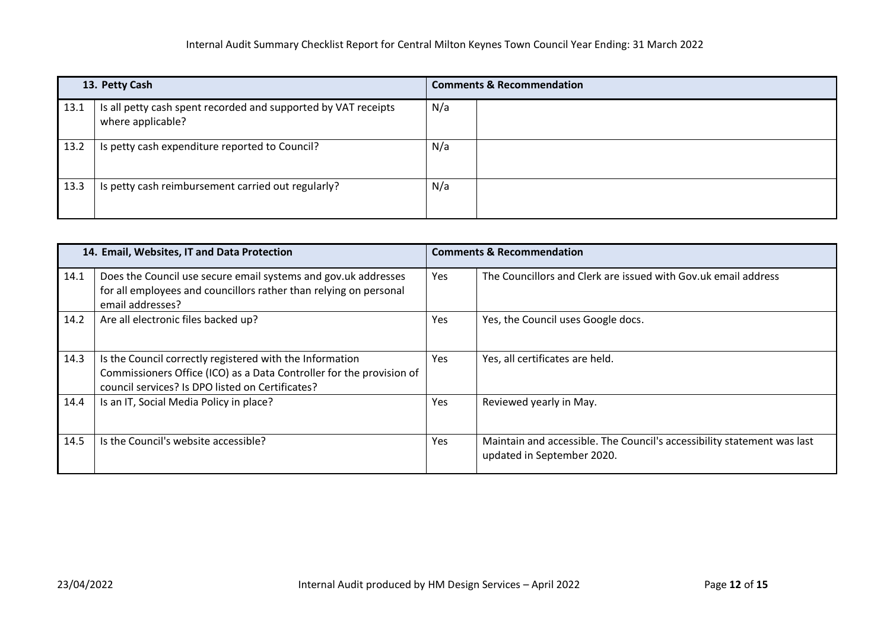| 13. Petty Cash |                                                                                     | <b>Comments &amp; Recommendation</b> |
|----------------|-------------------------------------------------------------------------------------|--------------------------------------|
| 13.1           | Is all petty cash spent recorded and supported by VAT receipts<br>where applicable? | N/a                                  |
| 13.2           | Is petty cash expenditure reported to Council?                                      | N/a                                  |
| 13.3           | Is petty cash reimbursement carried out regularly?                                  | N/a                                  |

| 14. Email, Websites, IT and Data Protection |                                                                                                                                                                                      | <b>Comments &amp; Recommendation</b> |                                                                                                       |  |
|---------------------------------------------|--------------------------------------------------------------------------------------------------------------------------------------------------------------------------------------|--------------------------------------|-------------------------------------------------------------------------------------------------------|--|
| 14.1                                        | Does the Council use secure email systems and gov.uk addresses<br>for all employees and councillors rather than relying on personal<br>email addresses?                              | Yes                                  | The Councillors and Clerk are issued with Gov.uk email address                                        |  |
| 14.2                                        | Are all electronic files backed up?                                                                                                                                                  | Yes                                  | Yes, the Council uses Google docs.                                                                    |  |
| 14.3                                        | Is the Council correctly registered with the Information<br>Commissioners Office (ICO) as a Data Controller for the provision of<br>council services? Is DPO listed on Certificates? | Yes                                  | Yes, all certificates are held.                                                                       |  |
| 14.4                                        | Is an IT, Social Media Policy in place?                                                                                                                                              | Yes                                  | Reviewed yearly in May.                                                                               |  |
| 14.5                                        | Is the Council's website accessible?                                                                                                                                                 | Yes                                  | Maintain and accessible. The Council's accessibility statement was last<br>updated in September 2020. |  |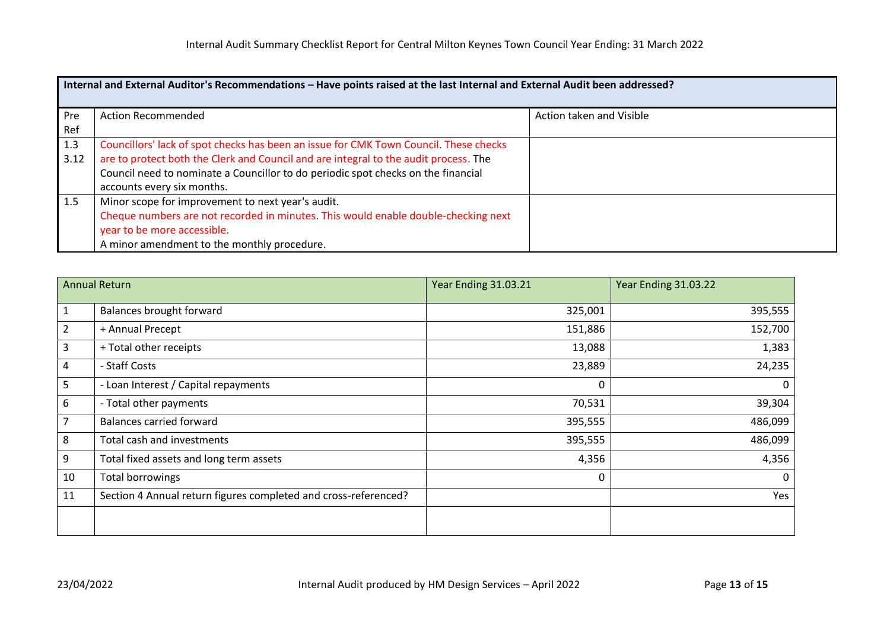|             | Internal and External Auditor's Recommendations - Have points raised at the last Internal and External Audit been addressed?                                                                                                                                                                     |                          |  |  |  |  |
|-------------|--------------------------------------------------------------------------------------------------------------------------------------------------------------------------------------------------------------------------------------------------------------------------------------------------|--------------------------|--|--|--|--|
| Pre<br>Ref  | <b>Action Recommended</b>                                                                                                                                                                                                                                                                        | Action taken and Visible |  |  |  |  |
| 1.3<br>3.12 | Councillors' lack of spot checks has been an issue for CMK Town Council. These checks<br>are to protect both the Clerk and Council and are integral to the audit process. The<br>Council need to nominate a Councillor to do periodic spot checks on the financial<br>accounts every six months. |                          |  |  |  |  |
| 1.5         | Minor scope for improvement to next year's audit.<br>Cheque numbers are not recorded in minutes. This would enable double-checking next<br>year to be more accessible.<br>A minor amendment to the monthly procedure.                                                                            |                          |  |  |  |  |

|                | <b>Annual Return</b>                                            | Year Ending 31.03.21 | Year Ending 31.03.22 |
|----------------|-----------------------------------------------------------------|----------------------|----------------------|
| $\mathbf{1}$   | Balances brought forward                                        | 325,001              | 395,555              |
| $\overline{2}$ | + Annual Precept                                                | 151,886              | 152,700              |
| 3              | + Total other receipts                                          | 13,088               | 1,383                |
| 4              | - Staff Costs                                                   | 23,889               | 24,235               |
| 5              | - Loan Interest / Capital repayments                            | 0                    | 0                    |
| 6              | - Total other payments                                          | 70,531               | 39,304               |
| 7              | <b>Balances carried forward</b>                                 | 395,555              | 486,099              |
| 8              | Total cash and investments                                      | 395,555              | 486,099              |
| 9              | Total fixed assets and long term assets                         | 4,356                | 4,356                |
| 10             | <b>Total borrowings</b>                                         | 0                    | $\mathbf{0}$         |
| 11             | Section 4 Annual return figures completed and cross-referenced? |                      | Yes                  |
|                |                                                                 |                      |                      |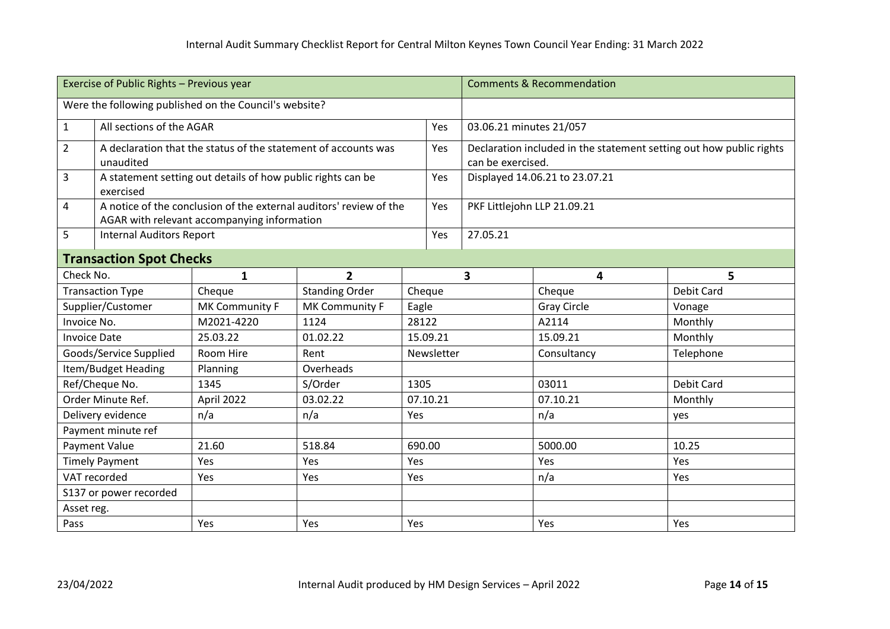| Exercise of Public Rights - Previous year              |                                 |                                                                |                                                                    |       | <b>Comments &amp; Recommendation</b> |                             |                                                                     |                   |  |
|--------------------------------------------------------|---------------------------------|----------------------------------------------------------------|--------------------------------------------------------------------|-------|--------------------------------------|-----------------------------|---------------------------------------------------------------------|-------------------|--|
| Were the following published on the Council's website? |                                 |                                                                |                                                                    |       |                                      |                             |                                                                     |                   |  |
| $\mathbf{1}$                                           | All sections of the AGAR        |                                                                |                                                                    |       | Yes                                  | 03.06.21 minutes 21/057     |                                                                     |                   |  |
| $\overline{2}$                                         |                                 | A declaration that the status of the statement of accounts was |                                                                    |       | Yes                                  |                             | Declaration included in the statement setting out how public rights |                   |  |
|                                                        | unaudited                       |                                                                |                                                                    |       |                                      | can be exercised.           |                                                                     |                   |  |
| 3                                                      | exercised                       | A statement setting out details of how public rights can be    |                                                                    |       | Yes                                  |                             | Displayed 14.06.21 to 23.07.21                                      |                   |  |
| 4                                                      |                                 |                                                                | A notice of the conclusion of the external auditors' review of the |       | Yes                                  | PKF Littlejohn LLP 21.09.21 |                                                                     |                   |  |
|                                                        |                                 | AGAR with relevant accompanying information                    |                                                                    |       |                                      |                             |                                                                     |                   |  |
| 5                                                      | <b>Internal Auditors Report</b> |                                                                |                                                                    |       | Yes                                  | 27.05.21                    |                                                                     |                   |  |
|                                                        | <b>Transaction Spot Checks</b>  |                                                                |                                                                    |       |                                      |                             |                                                                     |                   |  |
| Check No.                                              |                                 | 1                                                              | $\overline{2}$                                                     |       |                                      | 3                           | 4                                                                   | 5                 |  |
|                                                        | <b>Transaction Type</b>         | Cheque                                                         | <b>Standing Order</b>                                              |       | Cheque                               |                             | Cheque                                                              | <b>Debit Card</b> |  |
| Supplier/Customer                                      |                                 | MK Community F                                                 | MK Community F                                                     | Eagle |                                      |                             | <b>Gray Circle</b>                                                  | Vonage            |  |
| Invoice No.                                            |                                 | M2021-4220                                                     | 1124                                                               |       | 28122                                |                             | A2114                                                               | Monthly           |  |
| <b>Invoice Date</b>                                    |                                 | 25.03.22                                                       | 01.02.22                                                           |       | 15.09.21                             |                             | 15.09.21                                                            | Monthly           |  |
|                                                        | Goods/Service Supplied          | Room Hire                                                      | Rent                                                               |       | Newsletter                           |                             | Consultancy                                                         | Telephone         |  |
|                                                        | Item/Budget Heading             | Planning                                                       | Overheads                                                          |       |                                      |                             |                                                                     |                   |  |
|                                                        | Ref/Cheque No.                  | 1345                                                           | S/Order                                                            |       | 1305                                 |                             | 03011                                                               | Debit Card        |  |
|                                                        | Order Minute Ref.               | April 2022                                                     | 03.02.22                                                           |       | 07.10.21                             |                             | 07.10.21                                                            | Monthly           |  |
| Delivery evidence                                      |                                 | n/a                                                            | n/a                                                                |       | Yes                                  |                             | n/a                                                                 | yes               |  |
|                                                        | Payment minute ref              |                                                                |                                                                    |       |                                      |                             |                                                                     |                   |  |
| Payment Value                                          |                                 | 21.60                                                          | 518.84                                                             |       | 690.00                               |                             | 5000.00                                                             | 10.25             |  |
| <b>Timely Payment</b>                                  |                                 | Yes                                                            | Yes                                                                | Yes   |                                      |                             | Yes                                                                 | Yes               |  |
| VAT recorded                                           |                                 | Yes                                                            | Yes                                                                | Yes   |                                      |                             | n/a                                                                 | Yes               |  |
|                                                        | S137 or power recorded          |                                                                |                                                                    |       |                                      |                             |                                                                     |                   |  |
| Asset reg.                                             |                                 |                                                                |                                                                    |       |                                      |                             |                                                                     |                   |  |
| Pass                                                   |                                 | Yes                                                            | Yes                                                                | Yes   |                                      |                             | Yes                                                                 | Yes               |  |